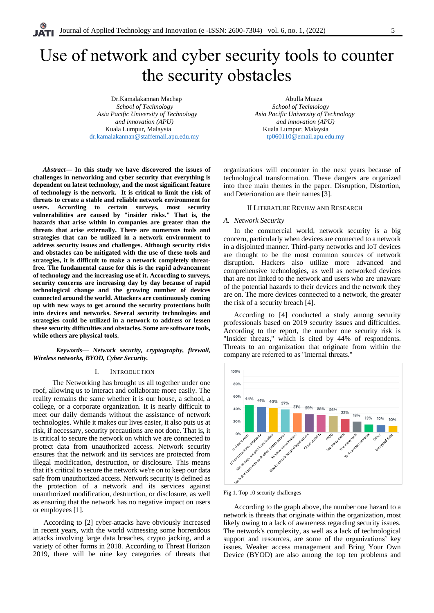# Use of network and cyber security tools to counter the security obstacles

Dr.Kamalakannan Machap Abulla Muaza *School of Technology School of Technology Asia Pacific University of Technology Asia Pacific University of Technology and innovation (APU) and innovation (APU)* Kuala Lumpur, Malaysia **Kuala Lumpur, Malaysia** Kuala Lumpur, Malaysia [dr.kamalakannan@staffemail.apu.edu.my](mailto:dr.kamalakannan@staffemail.apu.edu.my) [tp060110@email.apu.edu.my](mailto:tp060110@email.apu.edu.my)

*Abstract***— In this study we have discovered the issues of challenges in networking and cyber security that everything is dependent on latest technology, and the most significant feature of technology is the network. It is critical to limit the risk of threats to create a stable and reliable network environment for users. According to certain surveys, most security vulnerabilities are caused by "insider risks." That is, the hazards that arise within in companies are greater than the threats that arise externally. There are numerous tools and strategies that can be utilized in a network environment to address security issues and challenges. Although security risks and obstacles can be mitigated with the use of these tools and strategies, it is difficult to make a network completely threatfree. The fundamental cause for this is the rapid advancement of technology and the increasing use of it. According to surveys, security concerns are increasing day by day because of rapid technological change and the growing number of devices connected around the world. Attackers are continuously coming up with new ways to get around the security protections built into devices and networks. Several security technologies and strategies could be utilized in a network to address or lessen these security difficulties and obstacles. Some are software tools, while others are physical tools.**

 *Keywords— Network security, cryptography, firewall, Wireless networks, BYOD, Cyber Security.*

## I. INTRODUCTION

 The Networking has brought us all together under one roof, allowing us to interact and collaborate more easily. The reality remains the same whether it is our house, a school, a college, or a corporate organization. It is nearly difficult to meet our daily demands without the assistance of network technologies. While it makes our lives easier, it also puts us at risk, if necessary, security precautions are not done. That is, it is critical to secure the network on which we are connected to protect data from unauthorized access. Network security ensures that the network and its services are protected from illegal modification, destruction, or disclosure. This means that it's critical to secure the network we're on to keep our data safe from unauthorized access. Network security is defined as the protection of a network and its services against unauthorized modification, destruction, or disclosure, as well as ensuring that the network has no negative impact on users or employees [1].

According to [2] cyber-attacks have obviously increased in recent years, with the world witnessing some horrendous attacks involving large data breaches, crypto jacking, and a variety of other forms in 2018. According to Threat Horizon 2019, there will be nine key categories of threats that

organizations will encounter in the next years because of technological transformation. These dangers are organized into three main themes in the paper. Disruption, Distortion, and Deterioration are their names [3].

## II LITERATURE REVIEW AND RESEARCH

## *A. Network Security*

In the commercial world, network security is a big concern, particularly when devices are connected to a network in a disjointed manner. Third-party networks and IoT devices are thought to be the most common sources of network disruption. Hackers also utilize more advanced and comprehensive technologies, as well as networked devices that are not linked to the network and users who are unaware of the potential hazards to their devices and the network they are on. The more devices connected to a network, the greater the risk of a security breach [4].

According to [4] conducted a study among security professionals based on 2019 security issues and difficulties. According to the report, the number one security risk is "Insider threats," which is cited by 44% of respondents. Threats to an organization that originate from within the company are referred to as "internal threats."



Fig 1. Top 10 security challenges

According to the graph above, the number one hazard to a network is threats that originate within the organization, most likely owing to a lack of awareness regarding security issues. The network's complexity, as well as a lack of technological support and resources, are some of the organizations' key issues. Weaker access management and Bring Your Own Device (BYOD) are also among the top ten problems and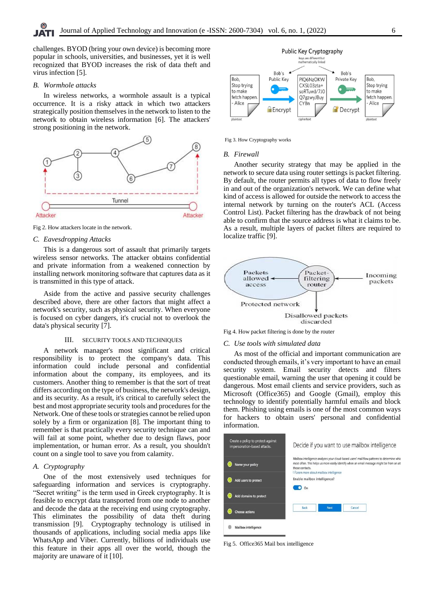challenges. BYOD (bring your own device) is becoming more popular in schools, universities, and businesses, yet it is well recognized that BYOD increases the risk of data theft and virus infection [5].

### *B. Wormhole attacks*

In wireless networks, a wormhole assault is a typical occurrence. It is a risky attack in which two attackers strategically position themselves in the network to listen to the network to obtain wireless information [6]. The attackers' strong positioning in the network.



Fig 2. How attackers locate in the network.

## *C. Eavesdropping Attacks*

This is a dangerous sort of assault that primarily targets wireless sensor networks. The attacker obtains confidential and private information from a weakened connection by installing network monitoring software that captures data as it is transmitted in this type of attack.

Aside from the active and passive security challenges described above, there are other factors that might affect a network's security, such as physical security. When everyone is focused on cyber dangers, it's crucial not to overlook the data's physical security [7].

# III. SECURITY TOOLS AND TECHNIQUES

A network manager's most significant and critical responsibility is to protect the company's data. This information could include personal and confidential information about the company, its employees, and its customers. Another thing to remember is that the sort of treat differs according on the type of business, the network's design, and its security. As a result, it's critical to carefully select the best and most appropriate security tools and procedures for the Network. One of these tools or strategies cannot be relied upon solely by a firm or organization [8]. The important thing to remember is that practically every security technique can and will fail at some point, whether due to design flaws, poor implementation, or human error. As a result, you shouldn't count on a single tool to save you from calamity.

# *A. Cryptography*

One of the most extensively used techniques for safeguarding information and services is cryptography. "Secret writing" is the term used in Greek cryptography. It is feasible to encrypt data transported from one node to another and decode the data at the receiving end using cryptography. This eliminates the possibility of data theft during transmission [9]. Cryptography technology is utilised in thousands of applications, including social media apps like WhatsApp and Viber. Currently, billions of individuals use this feature in their apps all over the world, though the majority are unaware of it [10].



Fig 3. How Cryptography works

## *B. Firewall*

Another security strategy that may be applied in the network to secure data using router settings is packet filtering. By default, the router permits all types of data to flow freely in and out of the organization's network. We can define what kind of access is allowed for outside the network to access the internal network by turning on the router's ACL (Access Control List). Packet filtering has the drawback of not being able to confirm that the source address is what it claims to be. As a result, multiple layers of packet filters are required to localize traffic [9].



Fig 4. How packet filtering is done by the router

## *C. Use tools with simulated data*

As most of the official and important communication are conducted through emails, it's very important to have an email security system. Email security detects and filters questionable email, warning the user that opening it could be dangerous. Most email clients and service providers, such as Microsoft (Office365) and Google (Gmail), employ this technology to identify potentially harmful emails and block them. Phishing using emails is one of the most common ways for hackers to obtain users' personal and confidential information.

| Create a policy to protect against<br>impersonation-based attacks. | Decide if you want to use mailbox intelligence                                                                                                                                                             |
|--------------------------------------------------------------------|------------------------------------------------------------------------------------------------------------------------------------------------------------------------------------------------------------|
| Name your policy                                                   | Mailbox intelligence analyzes your cloud-based users' mail flow patterns to determine whic<br>most often. This helps us more easily identify when an email message might be from an att<br>those contacts. |
| Add users to protect                                               | Learn more about mailbox intelligence<br>Enable mailbox intelligence?                                                                                                                                      |
| Add domains to protect                                             | On                                                                                                                                                                                                         |
| <b>Choose actions</b>                                              | Next<br>Cancel<br><b>Back</b>                                                                                                                                                                              |
| Mailbox intelligence                                               |                                                                                                                                                                                                            |

Fig 5. Office365 Mail box intelligence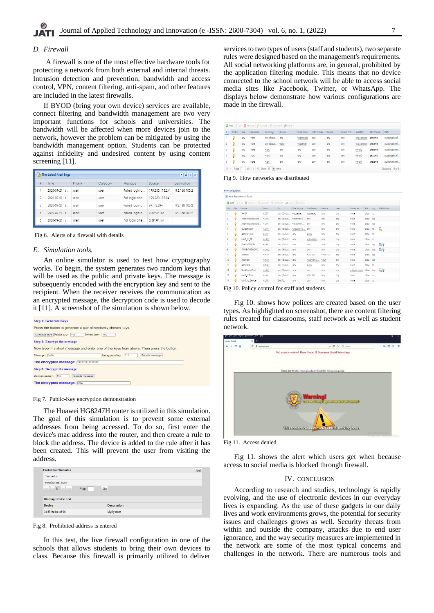A firewall is one of the most effective hardware tools for protecting a network from both external and internal threats. Intrusion detection and prevention, bandwidth and access control, VPN, content filtering, anti-spam, and other features are included in the latest firewalls.

If BYOD (bring your own device) services are available, connect filtering and bandwidth management are two very important functions for schools and universities. The bandwidth will be affected when more devices join to the network, however the problem can be mitigated by using the bandwidth management option. Students can be protected against infidelity and undesired content by using content screening [11].

|                | $-07$<br>The Latest Alert Logs |          |          |                               |                 |               |  |  |  |
|----------------|--------------------------------|----------|----------|-------------------------------|-----------------|---------------|--|--|--|
| 표              | Time                           | Priority | Category | Message                       | Source          | Destination   |  |  |  |
|                | 2020-09-21 16 alert            |          | user     | Failed loain a                | 195.230.113.241 | 192.168.100.2 |  |  |  |
| $\overline{2}$ | 2020-09-21 16 alert            |          | user     | Fail loain atte               | 195.230.113.241 |               |  |  |  |
| 3              | 2020-09-21 16 alert            |          | user     | Failed login a   69.1.3.244   |                 | 192.168.100.2 |  |  |  |
| 4              | 2020-09-21 16 alert            |          | user     | Failed login a 2.89.99.164    |                 | 192 168 100 2 |  |  |  |
| 5              | 2020-09-21 16   alert          |          | user     | Fail login atte   2.89.99.164 |                 |               |  |  |  |

Fig 6. Alerts of a firewall with details

## *E. Simulation tools.*

An online simulator is used to test how cryptography works. To begin, the system generates two random keys that will be used as the public and private keys. The message is subsequently encoded with the encryption key and sent to the recipient. When the receiver receives the communication as an encrypted message, the decryption code is used to decode it [11]. A screenshot of the simulation is shown below.



Fig 7. Public-Key encryption demonstration

The Huawei HG8247H router is utilized in this simulation. The goal of this simulation is to prevent some external addresses from being accessed. To do so, first enter the device's mac address into the router, and then create a rule to block the address. The device is added to the rule after it has been created. This will prevent the user from visiting the address.

| <b>Prohibited Websites</b> |      |                    | Set |
|----------------------------|------|--------------------|-----|
| * kahoot it                |      |                    |     |
| www.kahoot.com             |      |                    |     |
| $<<$ < 1/1 > >>            | Page | Go                 |     |
| <b>Binding Device List</b> |      |                    |     |
| <b>Device</b>              |      | <b>Description</b> |     |
| 34:f3:9a:ba:ef:96          |      | MySystem           |     |

Fig 8. Prohibited address is entered

In this test, the live firewall configuration in one of the schools that allows students to bring their own devices to class. Because this firewall is primarily utilized to deliver services to two types of users (staff and students), two separate rules were designed based on the management's requirements. All social networking platforms are, in general, prohibited by the application filtering module. This means that no device connected to the school network will be able to access social media sites like Facebook, Twitter, or WhatsApp. The displays below demonstrate how various configurations are made in the firewall.

| <b>Q</b> Add |                     | Folt Remove Activate & Inactivate A Move |                                          |                |        |                    |           |            |             |                 |            |                       |
|--------------|---------------------|------------------------------------------|------------------------------------------|----------------|--------|--------------------|-----------|------------|-------------|-----------------|------------|-----------------------|
|              | $\pm$ $\sim$ Status | User                                     | Schedule                                 | Incoming       | Source | <b>Destination</b> | DSCP Code | Service    | Source Port | Next Hop        | DSCP Marki | SNAT                  |
|              |                     | any                                      | none                                     | any Exclud     | ony    | siptesterip        | any       | any        | any         | asipgateway     | preserve   | outpoing-interf       |
|              |                     | any                                      | none                                     | any [Exclud    | apbx   | asioserver         | CITY      | any        | any         | asipgateway     | oreserve   | outgoing-interf       |
|              |                     | any                                      | none                                     | alon3<br>---   | any    | any                | criv      | any        | any         | awan2<br>------ | oreserve   | outgoing-interf       |
| 4            |                     | any                                      | none                                     | alon2<br>----  | ony    | CITY               | on        | any        | any         | awon2<br>----   | oreserve   | outgoing-interf       |
|              |                     | any                                      | none                                     | aloni<br>----- | ony    | any                | any       | <b>any</b> | any         | awan<br>----    | preserve   | outgoing-interf       |
| $\sqrt{2}$   | Page                |                                          | of $1 \rightarrow$ $\rightarrow$ Show 50 | v items        |        |                    |           |            |             |                 |            | Displaying 1 - 5 of 5 |

Fig 9. How networks are distributed

| ve Connouration                                                                             |   |                     |                 |                        |                           |                |                |      |                        |           |               |               |
|---------------------------------------------------------------------------------------------|---|---------------------|-----------------|------------------------|---------------------------|----------------|----------------|------|------------------------|-----------|---------------|---------------|
| Allow Asymmetrical Route                                                                    |   |                     |                 |                        |                           |                |                |      |                        |           |               |               |
| <b>Add Z</b> Edit <b>Remove Q</b> Activate <b>Q</b> Inactivate <b>N</b> Move <b>C</b> Clone |   |                     |                 |                        |                           |                |                |      |                        |           |               |               |
| Prio Sta                                                                                    |   | Name                | From            | To                     | IPv4 Source               | IPv4 Destin    | Service        | User | Schedule               | Act., Log |               | UTM Profile   |
| ĩ.                                                                                          |   | TestSP              | <b>A</b> OPT    | any (Exclud asipserver |                           | a sip-ext-ip   | any            | any  | none                   | glow no   |               |               |
| $\hat{z}$                                                                                   | 0 | AllowAllExcessOutb  | <b>ADMZ</b>     |                        | any [Biclud aseethawo     | ony            | any            | any  | none                   | allow log |               |               |
| 3                                                                                           | 0 | AllowAlExcessOutb   | <b>ALANT</b>    | any (Exclud  MasterMi  |                           | any            | any            | any  | none                   | allow log |               |               |
| 4                                                                                           | 9 | CLASSROOM           | <b>ANI</b>      |                        | any (Biclud = ALLOWYO any |                | onv            | onv  | none                   | allow no  |               | ۵             |
| 5                                                                                           | Θ | AllowSIP 3CX        | <b>A</b> OPT    | any (Biclud any        |                           | <b>spbx</b>    | onv            | onv  | none                   | allow no  |               |               |
| 6                                                                                           | 0 | LAN1 to SIP         | <b>RLANT</b>    | any (Exclud any        |                           | siptesterio    | <b>any</b>     | ony  | none                   | allow no  |               |               |
| 7                                                                                           | Q | <b>STAFFNETWORK</b> | <b>RLANT</b>    | any (Exclud any        |                           | any            | any            | ony  | none                   |           | allow log Lav |               |
| 8                                                                                           | 9 | STUDENTNETWORK      | =LAN2           | any (Exclud any        |                           | <b>any</b>     | any            | any  | none                   |           |               | ollow log LAY |
| ò                                                                                           | 0 | Allow2d             | WAN             | any (Exclud any        |                           | <b>42D1200</b> | <b>Any TCP</b> | any  | none                   | glow log  |               |               |
| 10                                                                                          | 0 | Allowdro            | WAN             | any (Biclud any        |                           | a DomainC      | <b>ARDP</b>    | anv  | none                   | glow log  |               |               |
| n                                                                                           | 0 | Allow3CX            | WAN             | any (Biclud any        |                           | <b>spbx</b>    | any            | anv  | none                   | allow no  |               |               |
| 12                                                                                          | 0 | BlockSocial7to4     | R <sub>LM</sub> | any (Biclud any        |                           | any            | onv            | onv  | sessionhours allow log |           |               |               |
| 13                                                                                          | 0 | LAN1_toZone         | LAN             | any (Biclud any        |                           | ₹ZD1200        | onv            | onv  | none                   | allow no  |               |               |
| $\mathbb{I}4$                                                                               |   | LAN1 to Device      | stant           | <b>IVWALL</b>          | ory                       | any            | anv            | anv  | none                   | allow no  |               |               |

Fig 10. Policy control for staff and students

Fig 10. shows how polices are created based on the user types. As highlighted on screenshot, there are content filtering rules created for classrooms, staff network as well as student network.





Fig 11. shows the alert which users get when because access to social media is blocked through firewall.

### IV. CONCLUSION

According to research and studies, technology is rapidly evolving, and the use of electronic devices in our everyday lives is expanding. As the use of these gadgets in our daily lives and work environments grows, the potential for security issues and challenges grows as well. Security threats from within and outside the company, attacks due to end user ignorance, and the way security measures are implemented in the network are some of the most typical concerns and challenges in the network. There are numerous tools and